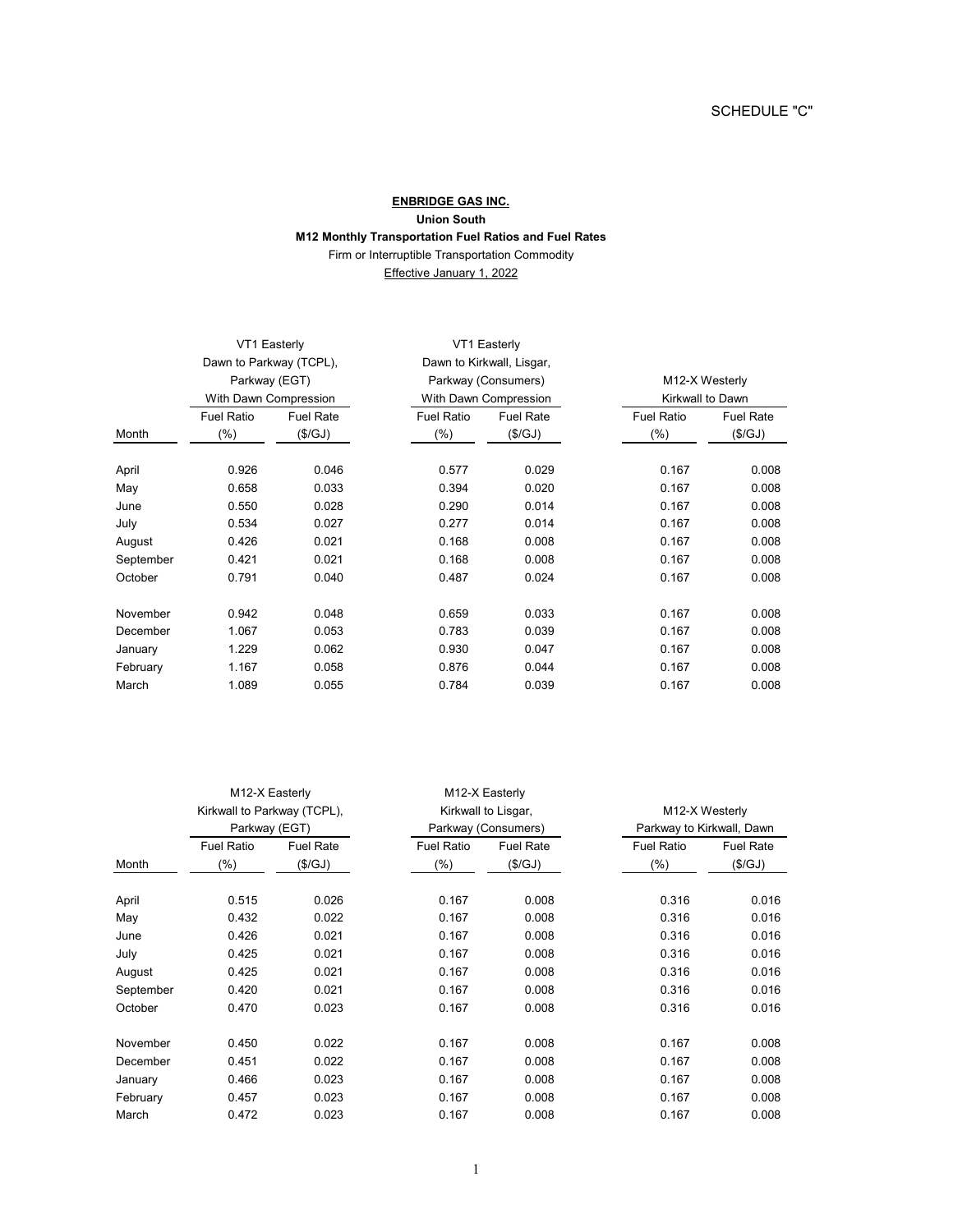## **ENBRIDGE GAS INC. Union South M12 Monthly Transportation Fuel Ratios and Fuel Rates** Firm or Interruptible Transportation Commodity

Effective January 1, 2022

|           | VT1 Easterly<br>Dawn to Parkway (TCPL),<br>Parkway (EGT)<br>With Dawn Compression |                  | VT1 Easterly<br>Dawn to Kirkwall, Lisgar,<br>Parkway (Consumers)<br>With Dawn Compression |                  |                                    |                  |
|-----------|-----------------------------------------------------------------------------------|------------------|-------------------------------------------------------------------------------------------|------------------|------------------------------------|------------------|
|           |                                                                                   |                  |                                                                                           |                  |                                    |                  |
|           |                                                                                   |                  |                                                                                           |                  | M12-X Westerly<br>Kirkwall to Dawn |                  |
|           |                                                                                   |                  |                                                                                           |                  |                                    |                  |
|           | <b>Fuel Ratio</b>                                                                 | <b>Fuel Rate</b> | <b>Fuel Ratio</b>                                                                         | <b>Fuel Rate</b> | <b>Fuel Ratio</b>                  | <b>Fuel Rate</b> |
| Month     | $(\% )$                                                                           | (\$/GJ)          | $(\% )$                                                                                   | (\$/GJ)          | $(\% )$                            | (\$/GJ)          |
| April     | 0.926                                                                             | 0.046            | 0.577                                                                                     | 0.029            | 0.167                              | 0.008            |
| May       | 0.658                                                                             | 0.033            | 0.394                                                                                     | 0.020            | 0.167                              | 0.008            |
| June      | 0.550                                                                             | 0.028            | 0.290                                                                                     | 0.014            | 0.167                              | 0.008            |
| July      | 0.534                                                                             | 0.027            | 0.277                                                                                     | 0.014            | 0.167                              | 0.008            |
| August    | 0.426                                                                             | 0.021            | 0.168                                                                                     | 0.008            | 0.167                              | 0.008            |
| September | 0.421                                                                             | 0.021            | 0.168                                                                                     | 0.008            | 0.167                              | 0.008            |
| October   | 0.791                                                                             | 0.040            | 0.487                                                                                     | 0.024            | 0.167                              | 0.008            |
| November  | 0.942                                                                             | 0.048            | 0.659                                                                                     | 0.033            | 0.167                              | 0.008            |
| December  | 1.067                                                                             | 0.053            | 0.783                                                                                     | 0.039            | 0.167                              | 0.008            |
| January   | 1.229                                                                             | 0.062            | 0.930                                                                                     | 0.047            | 0.167                              | 0.008            |
| February  | 1.167                                                                             | 0.058            | 0.876                                                                                     | 0.044            | 0.167                              | 0.008            |
| March     | 1.089                                                                             | 0.055            | 0.784                                                                                     | 0.039            | 0.167                              | 0.008            |

|           | M12-X Easterly<br>Kirkwall to Parkway (TCPL),<br>Parkway (EGT) |         | M12-X Easterly<br>Kirkwall to Lisgar,<br>Parkway (Consumers) |         |                                             |         |
|-----------|----------------------------------------------------------------|---------|--------------------------------------------------------------|---------|---------------------------------------------|---------|
|           |                                                                |         |                                                              |         | M12-X Westerly<br>Parkway to Kirkwall, Dawn |         |
|           |                                                                |         |                                                              |         |                                             |         |
| Month     | $(\% )$                                                        | (\$/GJ) | $(\% )$                                                      | (\$/GJ) | $(\% )$                                     | (\$/GJ) |
| April     | 0.515                                                          | 0.026   | 0.167                                                        | 0.008   | 0.316                                       | 0.016   |
| May       | 0.432                                                          | 0.022   | 0.167                                                        | 0.008   | 0.316                                       | 0.016   |
| June      | 0.426                                                          | 0.021   | 0.167                                                        | 0.008   | 0.316                                       | 0.016   |
| July      | 0.425                                                          | 0.021   | 0.167                                                        | 0.008   | 0.316                                       | 0.016   |
| August    | 0.425                                                          | 0.021   | 0.167                                                        | 0.008   | 0.316                                       | 0.016   |
| September | 0.420                                                          | 0.021   | 0.167                                                        | 0.008   | 0.316                                       | 0.016   |
| October   | 0.470                                                          | 0.023   | 0.167                                                        | 0.008   | 0.316                                       | 0.016   |
| November  | 0.450                                                          | 0.022   | 0.167                                                        | 0.008   | 0.167                                       | 0.008   |
| December  | 0.451                                                          | 0.022   | 0.167                                                        | 0.008   | 0.167                                       | 0.008   |
| January   | 0.466                                                          | 0.023   | 0.167                                                        | 0.008   | 0.167                                       | 0.008   |
| February  | 0.457                                                          | 0.023   | 0.167                                                        | 0.008   | 0.167                                       | 0.008   |
| March     | 0.472                                                          | 0.023   | 0.167                                                        | 0.008   | 0.167                                       | 0.008   |